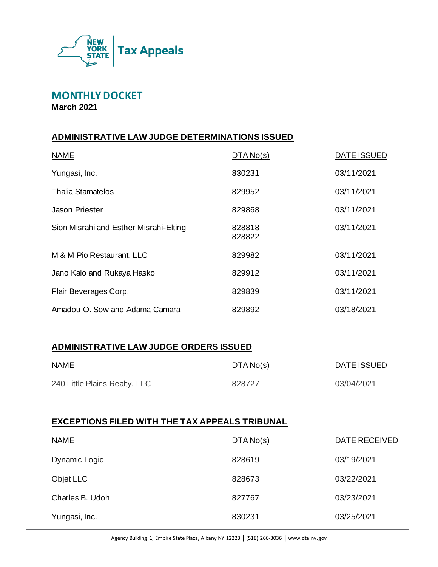

**MONTHLY DOCKET**

**March 2021**

# **ADMINISTRATIVE LAW JUDGE DETERMINATIONS ISSUED**

| <b>NAME</b>                            | DTA No(s)        | <b>DATE ISSUED</b> |
|----------------------------------------|------------------|--------------------|
| Yungasi, Inc.                          | 830231           | 03/11/2021         |
| <b>Thalia Stamatelos</b>               | 829952           | 03/11/2021         |
| Jason Priester                         | 829868           | 03/11/2021         |
| Sion Misrahi and Esther Misrahi-Elting | 828818<br>828822 | 03/11/2021         |
| M & M Pio Restaurant, LLC              | 829982           | 03/11/2021         |
| Jano Kalo and Rukaya Hasko             | 829912           | 03/11/2021         |
| Flair Beverages Corp.                  | 829839           | 03/11/2021         |
| Amadou O. Sow and Adama Camara         | 829892           | 03/18/2021         |

## **ADMINISTRATIVE LAW JUDGE ORDERS ISSUED**

| <b>NAME</b>                   | <u>DTA No(s)</u> | DATE ISSUED |
|-------------------------------|------------------|-------------|
| 240 Little Plains Realty, LLC | 828727           | 03/04/2021  |

# **EXCEPTIONS FILED WITH THE TAX APPEALS TRIBUNAL**

| <b>NAME</b>     | DTA No(s) | DATE RECEIVED |
|-----------------|-----------|---------------|
| Dynamic Logic   | 828619    | 03/19/2021    |
| Objet LLC       | 828673    | 03/22/2021    |
| Charles B. Udoh | 827767    | 03/23/2021    |
| Yungasi, Inc.   | 830231    | 03/25/2021    |